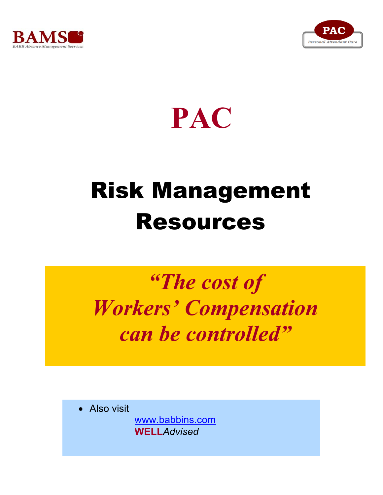



## **PAC**

# Risk Management Resources

### *"The cost of Workers' Compensation can be controlled"*

• Also visit

www.babbins.com **WELL***Advised*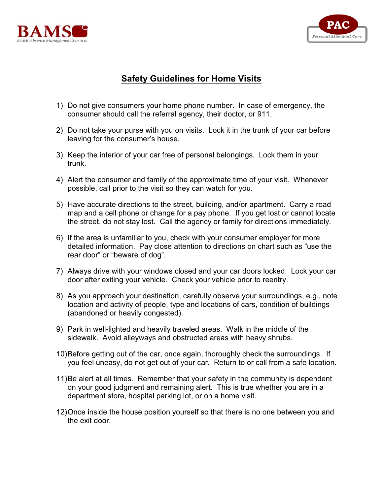



#### **Safety Guidelines for Home Visits**

- 1) Do not give consumers your home phone number. In case of emergency, the consumer should call the referral agency, their doctor, or 911.
- 2) Do not take your purse with you on visits. Lock it in the trunk of your car before leaving for the consumer's house.
- 3) Keep the interior of your car free of personal belongings. Lock them in your trunk.
- 4) Alert the consumer and family of the approximate time of your visit. Whenever possible, call prior to the visit so they can watch for you.
- 5) Have accurate directions to the street, building, and/or apartment. Carry a road map and a cell phone or change for a pay phone. If you get lost or cannot locate the street, do not stay lost. Call the agency or family for directions immediately.
- 6) If the area is unfamiliar to you, check with your consumer employer for more detailed information. Pay close attention to directions on chart such as "use the rear door" or "beware of dog".
- 7) Always drive with your windows closed and your car doors locked. Lock your car door after exiting your vehicle. Check your vehicle prior to reentry.
- 8) As you approach your destination, carefully observe your surroundings, e.g., note location and activity of people, type and locations of cars, condition of buildings (abandoned or heavily congested).
- 9) Park in well-lighted and heavily traveled areas. Walk in the middle of the sidewalk. Avoid alleyways and obstructed areas with heavy shrubs.
- 10)Before getting out of the car, once again, thoroughly check the surroundings. If you feel uneasy, do not get out of your car. Return to or call from a safe location.
- 11)Be alert at all times. Remember that your safety in the community is dependent on your good judgment and remaining alert. This is true whether you are in a department store, hospital parking lot, or on a home visit.
- 12)Once inside the house position yourself so that there is no one between you and the exit door.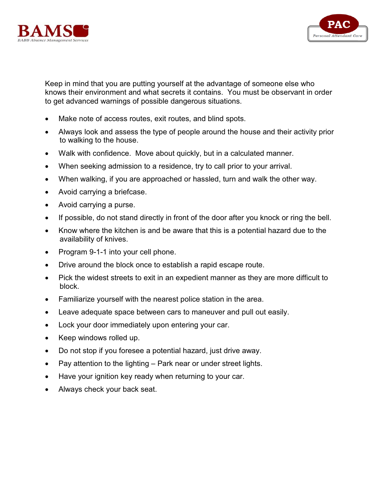



Keep in mind that you are putting yourself at the advantage of someone else who knows their environment and what secrets it contains. You must be observant in order to get advanced warnings of possible dangerous situations.

- Make note of access routes, exit routes, and blind spots.
- x Always look and assess the type of people around the house and their activity prior to walking to the house.
- Walk with confidence. Move about quickly, but in a calculated manner.
- When seeking admission to a residence, try to call prior to your arrival.
- When walking, if you are approached or hassled, turn and walk the other way.
- Avoid carrying a briefcase.
- Avoid carrying a purse.
- If possible, do not stand directly in front of the door after you knock or ring the bell.
- Know where the kitchen is and be aware that this is a potential hazard due to the availability of knives.
- Program 9-1-1 into your cell phone.
- Drive around the block once to establish a rapid escape route.
- Pick the widest streets to exit in an expedient manner as they are more difficult to block.
- $\bullet$  Familiarize yourself with the nearest police station in the area.
- Leave adequate space between cars to maneuver and pull out easily.
- Lock your door immediately upon entering your car.
- Keep windows rolled up.
- Do not stop if you foresee a potential hazard, just drive away.
- Pay attention to the lighting  $-$  Park near or under street lights.
- Have your ignition key ready when returning to your car.
- Always check your back seat.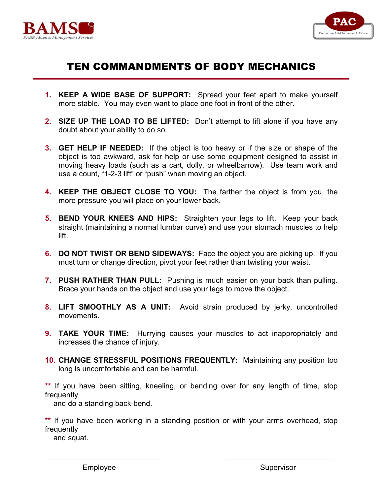



### TEN COMMANDMENTS OF BODY MECHANICS

- **1. KEEP A WIDE BASE OF SUPPORT:** Spread your feet apart to make yourself more stable. You may even want to place one foot in front of the other.
- **2. SIZE UP THE LOAD TO BE LIFTED:** Don't attempt to lift alone if you have any doubt about your ability to do so.
- **3. GET HELP IF NEEDED:** If the object is too heavy or if the size or shape of the object is too awkward, ask for help or use some equipment designed to assist in moving heavy loads (such as a cart, dolly, or wheelbarrow). Use team work and use a count, "1-2-3 lift" or "push" when moving an object.
- **4. KEEP THE OBJECT CLOSE TO YOU:** The farther the object is from you, the more pressure you will place on your lower back.
- **5. BEND YOUR KNEES AND HIPS:** Straighten your legs to lift. Keep your back straight (maintaining a normal lumbar curve) and use your stomach muscles to help lift.
- **6. DO NOT TWIST OR BEND SIDEWAYS:** Face the object you are picking up. If you must turn or change direction, pivot your feet rather than twisting your waist.
- **7. PUSH RATHER THAN PULL:** Pushing is much easier on your back than pulling. Brace your hands on the object and use your legs to move the object.
- **8. LIFT SMOOTHLY AS A UNIT:** Avoid strain produced by jerky, uncontrolled movements.
- **9. TAKE YOUR TIME:** Hurrying causes your muscles to act inappropriately and increases the chance of injury.
- **10. CHANGE STRESSFUL POSITIONS FREQUENTLY:** Maintaining any position too long is uncomfortable and can be harmful.

**\*\*** If you have been sitting, kneeling, or bending over for any length of time, stop frequently

and do a standing back-bend.

**\*\*** If you have been working in a standing position or with your arms overhead, stop frequently

\_\_\_\_\_\_\_\_\_\_\_\_\_\_\_\_\_\_\_\_\_\_\_\_\_\_\_\_ \_\_\_\_\_\_\_\_\_\_\_\_\_\_\_\_\_\_\_\_\_\_\_\_\_\_

and squat.